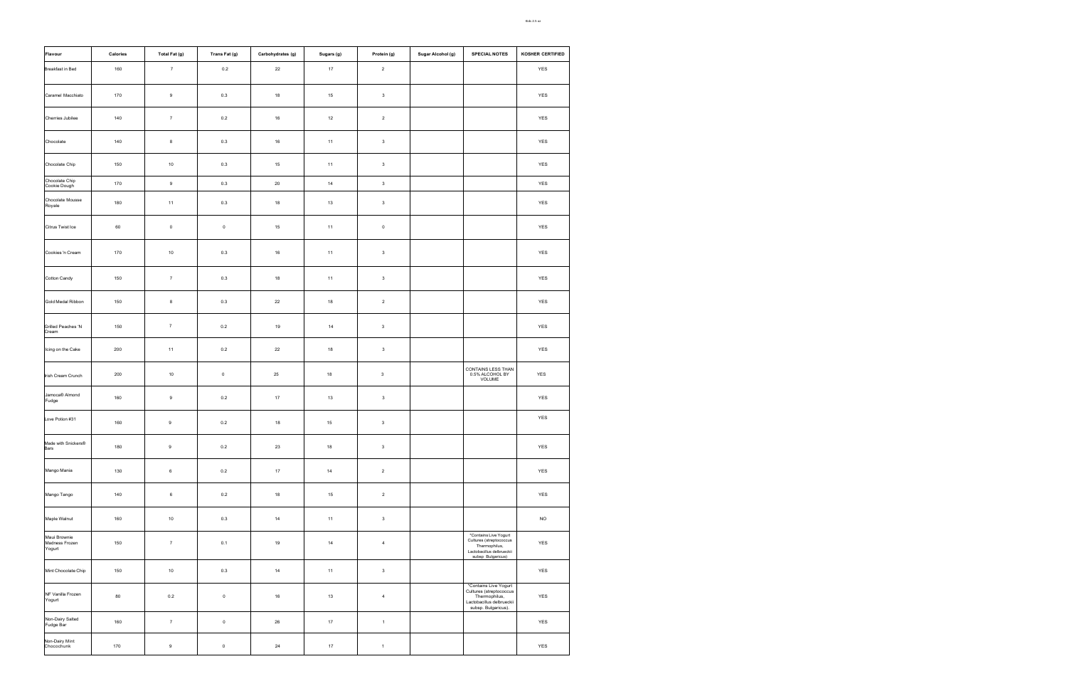| <b>Flavour</b>                           | <b>Calories</b> | Total Fat (g)    | Trans Fat (g)       | Carbohydrates (g) | Sugars (g) | Protein (g)    | Sugar Alcohol (g) | <b>SPECIAL NOTES</b>                                                                                                  | KOSHER CERTIFIED |
|------------------------------------------|-----------------|------------------|---------------------|-------------------|------------|----------------|-------------------|-----------------------------------------------------------------------------------------------------------------------|------------------|
| <b>Breakfast in Bed</b>                  | 160             | $\overline{7}$   | $0.2\,$             | 22                | $17$       | $\overline{2}$ |                   |                                                                                                                       | YES              |
| Caramel Macchiato                        | 170             | $\boldsymbol{9}$ | 0.3                 | 18                | 15         | $\mathbf{3}$   |                   |                                                                                                                       | <b>YES</b>       |
| Cherries Jubilee                         | 140             | $\overline{7}$   | 0.2                 | 16                | 12         | $\overline{2}$ |                   |                                                                                                                       | YES              |
| Chocolate                                | 140             | $8\phantom{1}$   | 0.3                 | 16                | 11         | $\mathbf{3}$   |                   |                                                                                                                       | <b>YES</b>       |
| Chocolate Chip                           | 150             | 10               | 0.3                 | 15                | 11         | $\mathbf{3}$   |                   |                                                                                                                       | YES              |
| Chocolate Chip<br>Cookie Dough           | 170             | 9                | 0.3                 | 20                | 14         | $\mathbf{3}$   |                   |                                                                                                                       | YES              |
| Chocolate Mousse<br>Royale               | 180             | 11               | $0.3\,$             | 18                | 13         | $\mathbf{3}$   |                   |                                                                                                                       | YES              |
| Citrus Twist Ice                         | 60              | $\mathsf 0$      | $\mathsf 0$         | 15                | 11         | $\mathsf 0$    |                   |                                                                                                                       | YES              |
| Cookies 'n Cream                         | 170             | 10               | 0.3                 | 16                | 11         | $\mathbf{3}$   |                   |                                                                                                                       | <b>YES</b>       |
| Cotton Candy                             | 150             | $\overline{7}$   | 0.3                 | 18                | 11         | $\mathbf{3}$   |                   |                                                                                                                       | YES              |
| Gold Medal Ribbon                        | 150             | 8                | 0.3                 | 22                | 18         | $\overline{2}$ |                   |                                                                                                                       | YES              |
| Grilled Peaches 'N<br>Cream              | 150             | $\overline{7}$   | 0.2                 | 19                | 14         | $\mathbf{3}$   |                   |                                                                                                                       | YES              |
| Icing on the Cake                        | 200             | 11               | 0.2                 | 22                | 18         | $\mathbf{3}$   |                   |                                                                                                                       | YES              |
| Irish Cream Crunch                       | 200             | 10               | $\mathsf{O}\xspace$ | 25                | 18         | $\mathbf{3}$   |                   | CONTAINS LESS THAN<br>0.5% ALCOHOL BY<br>VOLUME                                                                       | <b>YES</b>       |
| Jamoca <sup>®</sup> Almond<br>Fudge      | 160             | $\boldsymbol{9}$ | 0.2                 | 17                | $13$       | $\mathbf 3$    |                   |                                                                                                                       | YES              |
| Love Potion #31                          | 160             | 9                | 0.2                 | 18                | 15         | $\mathbf{3}$   |                   |                                                                                                                       | YES              |
| Made with Snickers®<br>Bars              | 180             | 9                | 0.2                 | 23                | 18         | $\mathbf{3}$   |                   |                                                                                                                       | YES              |
| Mango Mania                              | 130             | $\,6\,$          | 0.2                 | 17                | 14         | $\overline{2}$ |                   |                                                                                                                       | YES              |
| Mango Tango                              | 140             | $6\phantom{.}6$  | 0.2                 | 18                | 15         | $\overline{2}$ |                   |                                                                                                                       | <b>YES</b>       |
| Maple Walnut                             | 160             | 10               | 0.3                 | 14                | 11         | $\mathbf{3}$   |                   |                                                                                                                       | <b>NO</b>        |
| Maui Brownie<br>Madness Frozen<br>Yogurt | 150             | $\overline{7}$   | 0.1                 | 19                | 14         | $\overline{4}$ |                   | *Contains Live Yogurt<br>Cultures (streptococcus<br>Thermophilus,<br>Lactobacillus delbrueckii<br>subsp Bulgaricus)   | YES              |
| Mint Chocolate Chip                      | 150             | 10               | $0.3\,$             | 14                | 11         | $\mathbf{3}$   |                   |                                                                                                                       | YES              |
| NF Vanilla Frozen<br>Yogurt              | 80              | 0.2              | $\mathsf 0$         | 16                | 13         | $\overline{4}$ |                   | *Contains Live Yogurt<br>Cultures (streptococcus<br>Thermophilus,<br>Lactobacillus delbrueckii<br>subsp. Bulgaricus). | YES              |
| Non-Dairy Salted<br>Fudge Bar            | 160             | $\overline{7}$   | $\mathsf 0$         | 26                | $17$       | $\overline{1}$ |                   |                                                                                                                       | YES              |
| Non-Dairy Mint<br>Chocochunk             | 170             | $\boldsymbol{9}$ | $\mathbf 0$         | 24                | 17         | $\mathbf{1}$   |                   |                                                                                                                       | YES              |